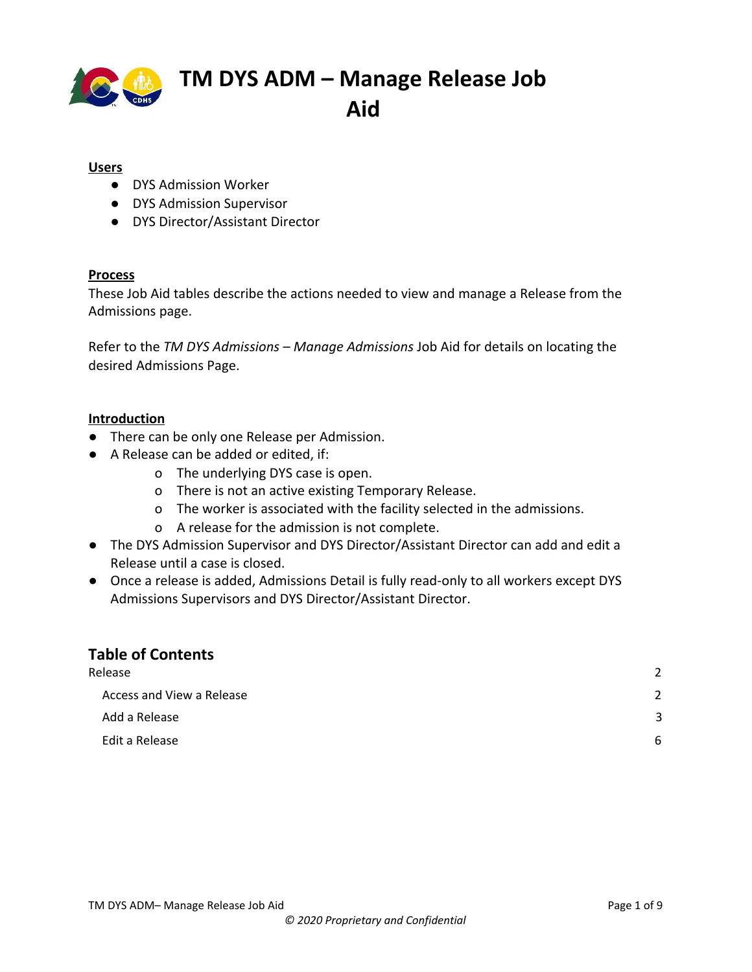

#### **Users**

- DYS Admission Worker
- DYS Admission Supervisor
- DYS Director/Assistant Director

#### **Process**

These Job Aid tables describe the actions needed to view and manage a Release from the Admissions page.

Refer to the *TM DYS Admissions – Manage Admissions* Job Aid for details on locating the desired Admissions Page.

#### **Introduction**

- **●** There can be only one Release per Admission.
- A Release can be added or edited, if:
	- o The underlying DYS case is open.
	- o There is not an active existing Temporary Release.
	- o The worker is associated with the facility selected in the admissions.
	- o A release for the admission is not complete.
- The DYS Admission Supervisor and DYS Director/Assistant Director can add and edit a Release until a case is closed.
- Once a release is added, Admissions Detail is fully read-only to all workers except DYS Admissions Supervisors and DYS Director/Assistant Director.

### **Table of Contents**

| Release |                           | 2 |  |
|---------|---------------------------|---|--|
|         | Access and View a Release | 2 |  |
|         | Add a Release             | 3 |  |
|         | Edit a Release            | 6 |  |
|         |                           |   |  |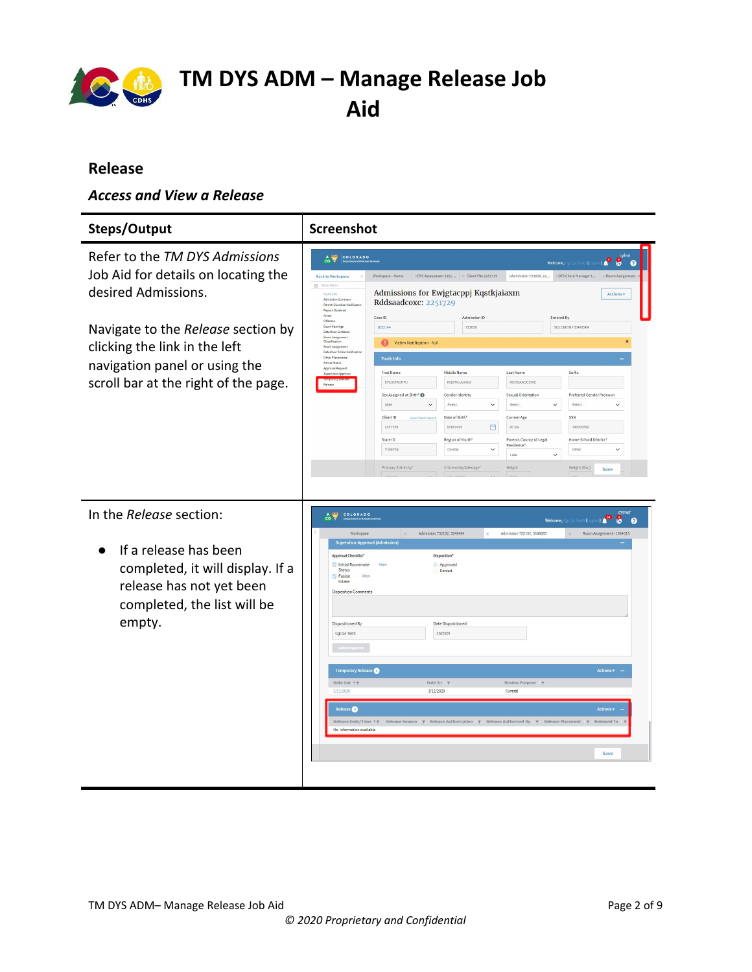

### <span id="page-1-0"></span>**Release**

### <span id="page-1-1"></span>*Access and View a Release*

| Steps/Output                                                                                                                                 | <b>Screenshot</b>                                                                                                                                                                                                                                                                                                                                                                                                                                                                                                                                                                                                                                                                                                                                                                                                                                                                                                                                                                                                                                                                                                                               |
|----------------------------------------------------------------------------------------------------------------------------------------------|-------------------------------------------------------------------------------------------------------------------------------------------------------------------------------------------------------------------------------------------------------------------------------------------------------------------------------------------------------------------------------------------------------------------------------------------------------------------------------------------------------------------------------------------------------------------------------------------------------------------------------------------------------------------------------------------------------------------------------------------------------------------------------------------------------------------------------------------------------------------------------------------------------------------------------------------------------------------------------------------------------------------------------------------------------------------------------------------------------------------------------------------------|
| Refer to the TM DYS Admissions<br>Job Aid for details on locating the<br>desired Admissions.                                                 | COLORADO<br>$\frac{4}{100}$<br>8<br>Welcome, Cgi Qa Test5 (Log<br>െ<br>XDYS Assessment 2251 X Client File 2251729<br>XAdmission 723638, 22<br>>OYS Client Manager 1<br><b>Back to Workspace</b><br>Workspace - Home<br>$\equiv$ Show Mer<br>Admissions for Ewjgtacppj Kqstkjaiaxm<br><b>Actions v</b><br>Youth Info<br>Admission Summary<br>Rddsaadcoxc: 2251729<br>Parent/Guardian Notificat<br>Reason Detained<br>Arrest                                                                                                                                                                                                                                                                                                                                                                                                                                                                                                                                                                                                                                                                                                                      |
| Navigate to the Release section by<br>clicking the link in the left<br>navigation panel or using the<br>scroll bar at the right of the page. | Case ID<br><b>Admission ID</b><br>Entered By<br>Offenses<br>Court Hearings<br>1832144<br>723638<br>SOLOMON HERRERA<br><b>Detention Sentenc</b><br>Room Assignment<br>Classification<br>o<br>Victim Notification - N/A<br>Room Assignm<br>Detention Victim Notifical<br>Other Placement<br><b>Youth Info</b><br>Parole Status<br>Approval Request<br>Middle Name<br>Suffix<br><b>First Name</b><br><b>Last Name</b><br>Supervisor Approve<br>EWJGTACPPJ<br><b>KOSTKJAJAXM</b><br>RDDSAADCOXC<br>Release<br>Sex Assigned at Birth* <sup>1</sup><br>Gender Identity<br>Sexual Orientation<br>Preferred Gender Pronoun<br>Male<br>$\checkmark$<br>Select.<br>$\checkmark$<br>Select.<br>$\checkmark$<br>Select.<br>$\checkmark$<br>Date of Birth*<br>Current Age<br>SSN<br>Client ID<br>View Client Reco<br>140003592<br>2251729<br>5/30/2000<br>曲<br>20 yrs<br>Home School District*<br>State ID<br>Region of Youth*<br>Parents County of Legal<br>Residence <sup>®</sup><br>Y408748<br>Central<br>$\checkmark$<br>Other<br>$\checkmark$<br>Lake<br>$\checkmark$<br>Primary Ethnicity*<br>Citizenship/Alienage*<br>Height<br>Weight (lbs.)<br>Save |
| In the Release section:<br>If a release has been<br>completed, it will display. If a<br>release has not yet been                             | <b>CYFMT</b><br>COLORADO<br>$\frac{1}{100}$<br>L<br>$\mathbf{B}$<br>$\Omega$<br>Welcome.<br>Admission 752192, 3566685<br>Workspace<br>Admission 752182, 3249494<br>Room Assignment - 1984015<br><b>Supervisor Approval (Admission)</b><br><b>Approval Checklist</b><br>Disposition*<br>Initial Roommate<br>Approved<br>View<br>Status<br>Denied<br>View<br>Fusion<br>Intake<br><b>Disposition Comments</b>                                                                                                                                                                                                                                                                                                                                                                                                                                                                                                                                                                                                                                                                                                                                      |
| completed, the list will be<br>empty.                                                                                                        | <b>Dispositioned By</b><br><b>Date Dispositioned</b><br>Cgi Qa Test5<br>3/9/2020<br><b>Temporary Release</b><br><b>Actions v</b><br>Date Out 7<br>Date In T<br>Review Purpose T<br>3/11/2020<br>3/12/2020<br>Funeral                                                                                                                                                                                                                                                                                                                                                                                                                                                                                                                                                                                                                                                                                                                                                                                                                                                                                                                            |
|                                                                                                                                              | Release <sup>O</sup><br>Actions $\boldsymbol{\mathrm{v}}$<br>Release Date/Time <b>TT</b><br>Release Reason $\gamma$ Release Authorization $\gamma$ Release Authorized By $\gamma$ Release Placement<br>Released To<br>No information available<br>Save                                                                                                                                                                                                                                                                                                                                                                                                                                                                                                                                                                                                                                                                                                                                                                                                                                                                                          |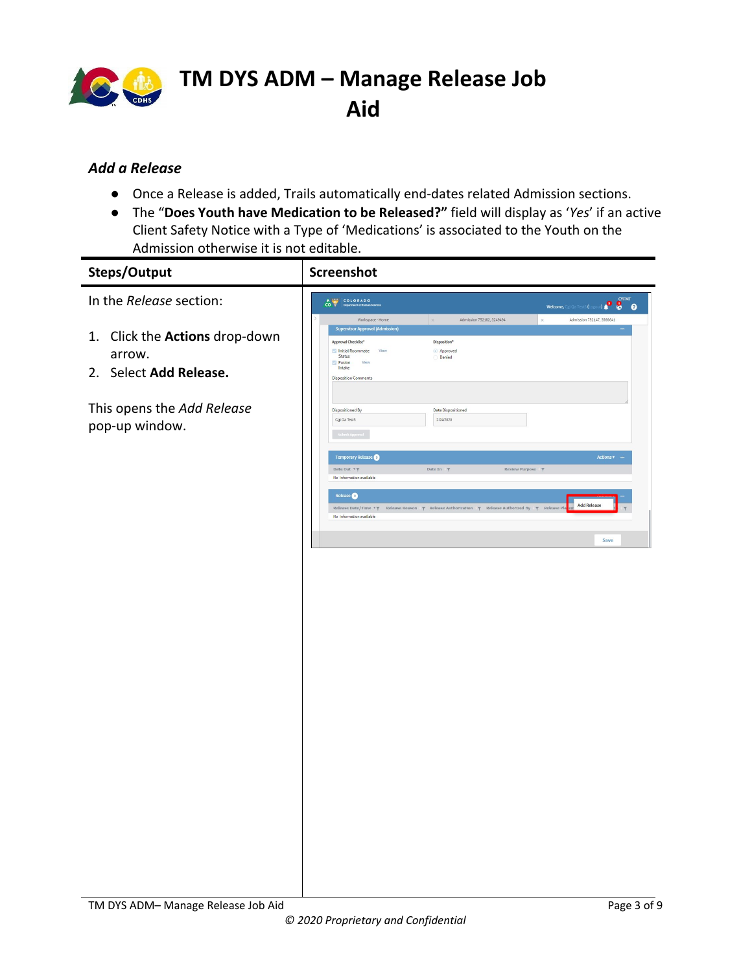

### <span id="page-2-0"></span>*Add a Release*

- Once a Release is added, Trails automatically end-dates related Admission sections.
- The "**Does Youth have Medication to be Released?"** field will display as '*Yes*' if an active Client Safety Notice with a Type of 'Medications' is associated to the Youth on the Admission otherwise it is not editable.

| Steps/Output                                                       | Screenshot                                                                                                                                                                                                                                                                             |
|--------------------------------------------------------------------|----------------------------------------------------------------------------------------------------------------------------------------------------------------------------------------------------------------------------------------------------------------------------------------|
| In the Release section:                                            | Welcome, Qui Qa Tests (Logout) $\begin{bmatrix} \bullet & \bullet \\ \bullet & \bullet \end{bmatrix}$<br>COLORADO                                                                                                                                                                      |
| 1. Click the Actions drop-down<br>arrow.<br>2. Select Add Release. | Workspace - Home<br>Admission 752182, 3249494<br>Admission 752147, 3566641<br><b>Supervisor Approval (Admission)</b><br>Approval Checklist*<br>Disposition*<br>Initial Roommate View<br>Approved<br>Status<br>Denied<br><b>Fusion</b><br>View<br>Intake<br><b>Disposition Comments</b> |
| This opens the Add Release<br>pop-up window.                       | Dispositioned By<br>Date Dispositioned<br>Cgi Qa Test5<br>2/24/2020                                                                                                                                                                                                                    |
|                                                                    | Temporary Release<br>Actions $\mathbf{v}$ –<br>Date Out <b>T</b> T<br>Date In $\tau$<br>Review Purpose T<br>No information available                                                                                                                                                   |
|                                                                    | Release <sup>O</sup><br><b>Add Release</b><br>Release Reason $\gamma$ Release Authorization $\gamma$ Release Authorized By $\gamma$ Release Pla<br>Release Date/Time **<br>No information available<br>Save                                                                            |
|                                                                    |                                                                                                                                                                                                                                                                                        |
|                                                                    |                                                                                                                                                                                                                                                                                        |
|                                                                    |                                                                                                                                                                                                                                                                                        |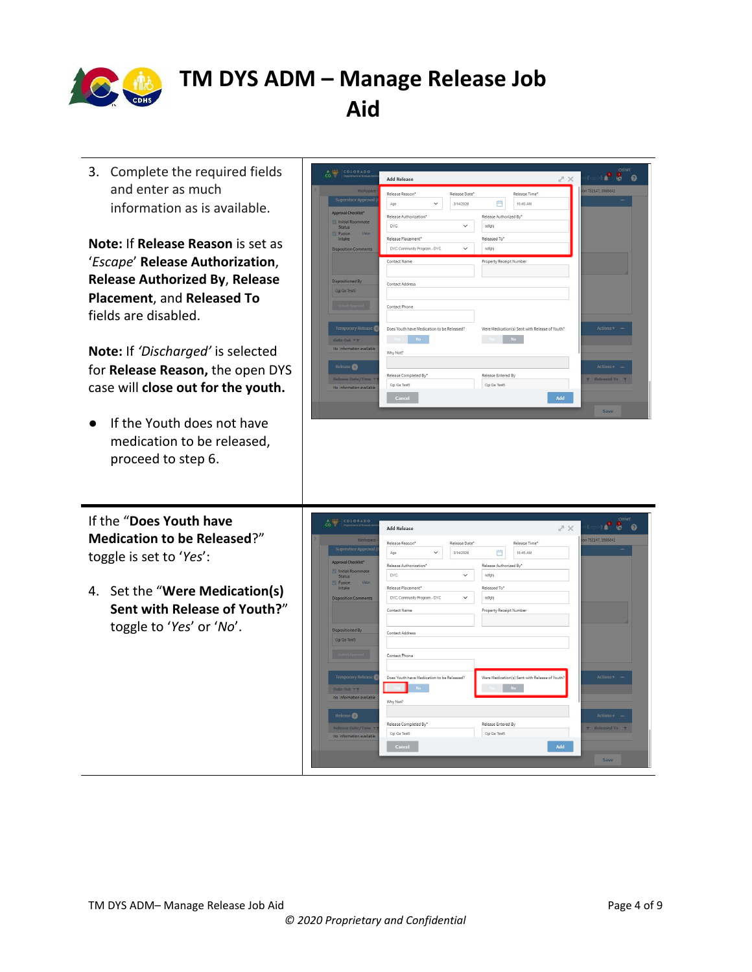

3. Complete the required fields and enter as much information as is available.

**Note:** If **Release Reason** is set as '*Escape*' **Release Authorization**, **Release Authorized By**, **Release Placement**, and **Released To** fields are disabled.

**Note:** If *'Discharged'* is selected for **Release Reason,** the open DYS case will **close out for the youth.**

● If the Youth does not have medication to be released, proceed to step 6.

If the "**Does Youth have Medication to be Released**?" toggle is set to '*Yes*':

4. Set the "**Were Medication(s) Sent with Release of Youth?**" toggle to '*Yes*' or '*No*'.

| Department of Human Service      | <b>Add Release</b>                          |                         | X <sup>n</sup>                                 | <b>P 8</b><br>ด       |
|----------------------------------|---------------------------------------------|-------------------------|------------------------------------------------|-----------------------|
| Workspace -                      | Release Reason*<br>Release Date*            |                         | Release Time*                                  | lion 752147, 3566641  |
| Supervisor Approval (/           | 3/14/2020<br>Age<br>$\checkmark$            | 曲                       | 10:45 AM                                       |                       |
| Approval Checklist*              | Release Authorization*                      | Release Authorized By*  |                                                |                       |
| Initial Roommate<br>Status       | DVC.<br>$\checkmark$                        | sdfghj                  |                                                |                       |
| <b>Fusion</b><br>View.<br>Intake | Release Placement*                          | Released To*            |                                                |                       |
| <b>Disposition Comments</b>      | DYC Community Program - DYC<br>$\checkmark$ | sdfghj                  |                                                |                       |
|                                  | Contact Name                                | Property Receipt Number |                                                |                       |
| <b>Dispositioned By</b>          | Contact Address                             |                         |                                                |                       |
| Cgi Qa Test5                     |                                             |                         |                                                |                       |
|                                  | Contact Phone                               |                         |                                                |                       |
| <b>Temporary Release</b>         | Does Youth have Medication to be Released?  |                         | Were Medication(s) Sent with Release of Youth? | $\text{Actions } v -$ |
| Date Out <b>TT</b>               | No.                                         |                         | <b>No</b>                                      |                       |
| No information available         | Why Not?                                    |                         |                                                |                       |
| Release <sup>O</sup>             |                                             |                         |                                                | Actions v -           |
| Release Date/Time *              | Release Completed By*                       | Release Entered By      |                                                | <b>Released To</b>    |
| No information available         | Cgi Qa Test5                                | Coi Qa Test5            |                                                |                       |
|                                  | Cancel                                      |                         | Add                                            |                       |

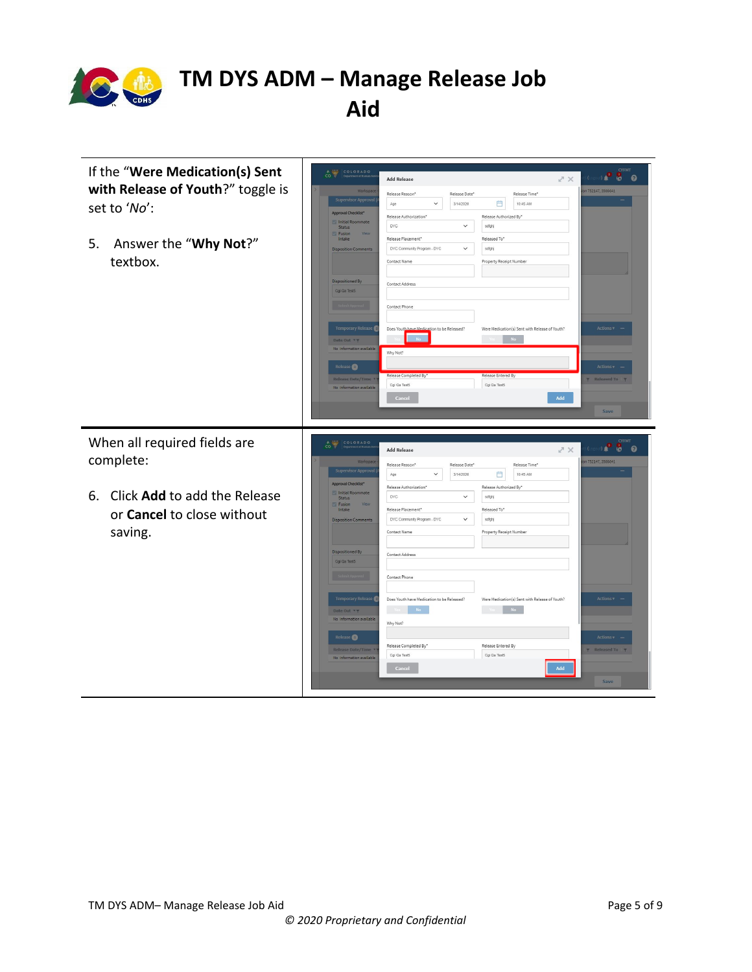

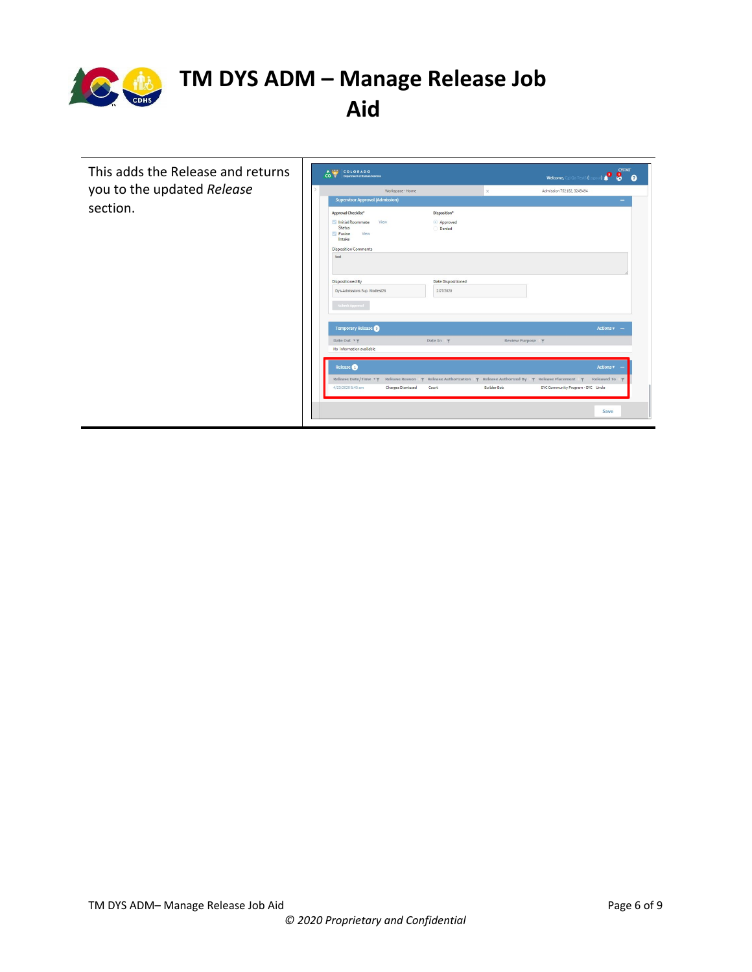

This adds the Release and returns you to the updated *Release* section.

| Workspace - Home                                               |                                                                                                                  | $\times$          | Admission 752182, 3249494         |                      |
|----------------------------------------------------------------|------------------------------------------------------------------------------------------------------------------|-------------------|-----------------------------------|----------------------|
| <b>Supervisor Approval (Admission)</b>                         |                                                                                                                  |                   |                                   |                      |
| Approval Checklist*                                            | Disposition*                                                                                                     |                   |                                   |                      |
| Initial Roommate<br>View<br>Status<br>Fusion<br>View<br>Intake | Approved<br>Denied                                                                                               |                   |                                   |                      |
| <b>Disposition Comments</b>                                    |                                                                                                                  |                   |                                   |                      |
| test                                                           |                                                                                                                  |                   |                                   |                      |
|                                                                |                                                                                                                  |                   |                                   |                      |
| <b>Dispositioned By</b>                                        | <b>Date Dispositioned</b>                                                                                        |                   |                                   |                      |
| Dys-Admissions Sup. Modtest26                                  | 2/27/2020                                                                                                        |                   |                                   |                      |
| Submit Approval                                                |                                                                                                                  |                   |                                   |                      |
| <b>Temporary Release</b>                                       |                                                                                                                  |                   |                                   | Actions = -          |
| Date Out <b>Y</b> $\overline{Y}$                               | Date In $\P$                                                                                                     | Review Purpose \\ |                                   |                      |
| No information available                                       |                                                                                                                  |                   |                                   |                      |
| Release <sup>O</sup>                                           |                                                                                                                  |                   |                                   | Actions v            |
| Release Date/Time <b>TT</b>                                    | Release Reason $\gamma$ Release Authorization $\gamma$ Release Authorized By $\gamma$ Release Placement $\gamma$ |                   |                                   | Released To <b>T</b> |
| 4/23/2020 8:45 am<br><b>Charges Dismissed</b>                  | Court                                                                                                            | Builder Bob       | DYC Community Program - DYC Uncle |                      |
|                                                                |                                                                                                                  |                   |                                   |                      |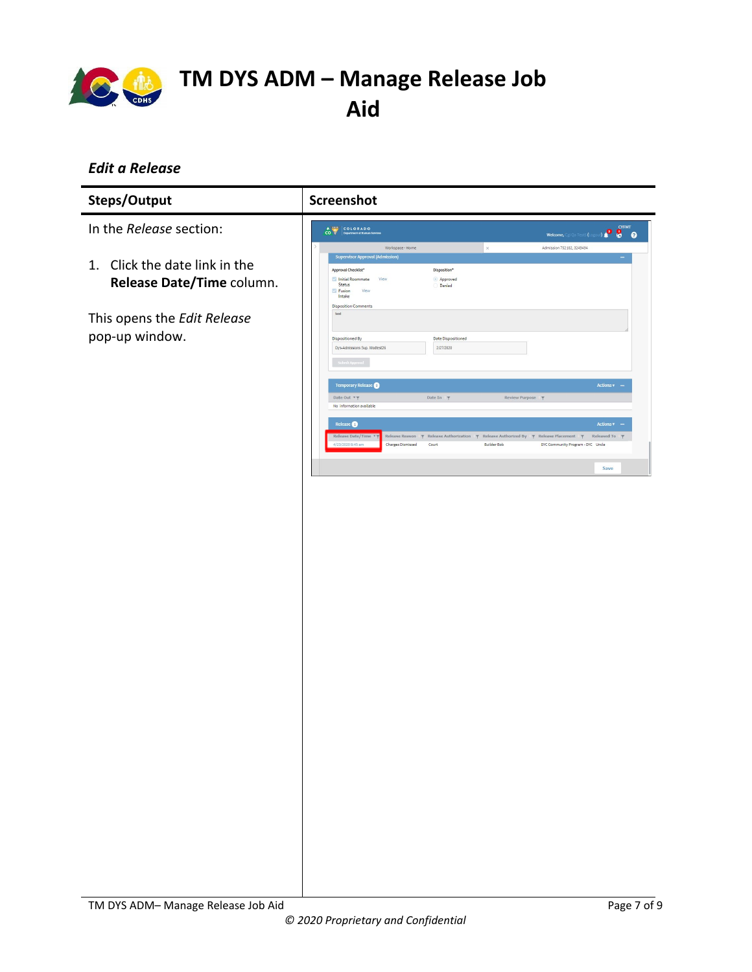

### <span id="page-6-0"></span>*Edit a Release*

| Steps/Output                                               | <b>Screenshot</b>                                                                                                                                                                                                                                                                                                      |
|------------------------------------------------------------|------------------------------------------------------------------------------------------------------------------------------------------------------------------------------------------------------------------------------------------------------------------------------------------------------------------------|
| In the Release section:                                    | <b>P</b> STAT<br>COLORADO<br>Welcome, Cgi Qa Test5 (Log                                                                                                                                                                                                                                                                |
| 1. Click the date link in the<br>Release Date/Time column. | $\times$<br>Admission 752182, 3249494<br>Workspace - Home<br><b>Supervisor Approval (Admission)</b><br>Approval Checklist*<br>Disposition*<br>$\textcolor{green}{\bullet}$ Approved<br>Initial Roommate View<br>Status<br>Denied<br>Fusion<br>View<br>Intake<br><b>Disposition Comments</b>                            |
| This opens the Edit Release<br>pop-up window.              | test<br>Dispositioned By<br>Date Dispositioned<br>Dys-Admissions Sup. Modtest26<br>2/27/2020                                                                                                                                                                                                                           |
|                                                            | Actions $\sqrt{ }$ –<br>Temporary Release<br>Date In $\forall$<br>Date Out $\hspace{0.1mm}\stackrel{\bullet}{\hspace{-0.1mm}\tau}\hspace{0.1mm}\stackrel{\bullet}{\hspace{-0.1mm}\tau}$<br>Review Purpose T<br>No information available                                                                                |
|                                                            | Release $\bigcirc$<br>Actions $\bullet$ -<br>Release Date/Time<br>Release Reason $\gamma$ Release Authorization $\gamma$ Release Authorized By $\gamma$ Release Placement $\gamma$ Released To $\gamma$<br>4/23/2020 8:45 am<br>Charges Dismissed<br>Court<br>Builder Bob<br>DYC Community Program - DYC Uncle<br>Save |
|                                                            |                                                                                                                                                                                                                                                                                                                        |
|                                                            |                                                                                                                                                                                                                                                                                                                        |
|                                                            |                                                                                                                                                                                                                                                                                                                        |
|                                                            |                                                                                                                                                                                                                                                                                                                        |
|                                                            |                                                                                                                                                                                                                                                                                                                        |
|                                                            |                                                                                                                                                                                                                                                                                                                        |
|                                                            |                                                                                                                                                                                                                                                                                                                        |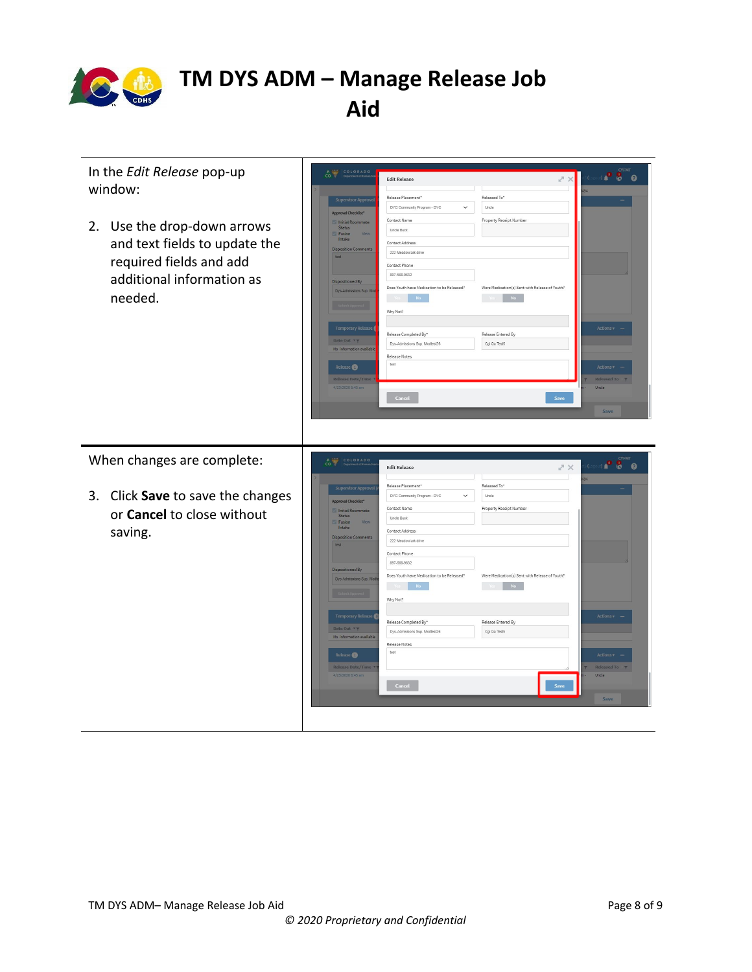

| In the Edit Release pop-up<br>window:<br>Use the drop-down arrows<br>2.<br>and text fields to update the<br>required fields and add<br>additional information as<br>needed. | COLORADO<br>$\overline{c}$ $\overline{v}$<br>$z \times$<br><b>Edit Release</b><br>Released To*<br>Release Placement*<br><b>Supervisor Approv</b><br>DYC Community Program - DYC<br>$\checkmark$<br>Uncle<br>Approval Checklist*<br>Contact Name<br>Property Receipt Number<br>Initial Roommate<br>Status<br>Uncle Buck<br>Fusion<br>Intake<br>Contact Address<br><b>Disposition Comments</b><br>222 Meadowlark drive<br>test<br>Contact Phone<br>897-568-9632<br>Dispositioned By<br>Does Youth have Medication to be Released?<br>Were Medication(s) Sent with Release of Youth?<br>Dys-Admissions Sup. Mr<br>N <sub>O</sub><br>$N\sigma$<br>Why Not?<br><b>Temporary Release</b><br>Release Entered By<br>Release Completed By*<br>Date Out <b>TY</b><br>Cgi Qa Test5<br>Dys-Admissions Sup. Modtest26<br>No information availabl<br>Release Notes<br>test<br>Release <sup>O</sup><br><b>Release Date/Time</b><br>4/23/2020 8:45 am<br>Uncle<br>Cancel<br>Save | <b>CYFMT</b><br>. <mark>. .</mark><br>Actions v<br><b>Actions</b><br>Released To T<br>Save             |
|-----------------------------------------------------------------------------------------------------------------------------------------------------------------------------|------------------------------------------------------------------------------------------------------------------------------------------------------------------------------------------------------------------------------------------------------------------------------------------------------------------------------------------------------------------------------------------------------------------------------------------------------------------------------------------------------------------------------------------------------------------------------------------------------------------------------------------------------------------------------------------------------------------------------------------------------------------------------------------------------------------------------------------------------------------------------------------------------------------------------------------------------------------|--------------------------------------------------------------------------------------------------------|
| When changes are complete:<br>3. Click Save to save the changes<br>or Cancel to close without<br>saving.                                                                    | CO COLORADO<br>スス<br><b>Edit Release</b><br>Release Placement*<br>Released To*<br><b>Supervisor Approva</b><br>DYC Community Program - DYC<br>$\checkmark$<br>Uncle<br>Approval Checklist*<br>Property Receipt Number<br>Contact Name<br>Initial Roommate<br>Status<br>Uncle Buck<br>Fusion<br>Intake<br>Contact Address<br><b>Disposition Comments</b><br>222 Meadowlark drive<br>test<br>Contact Phone<br>897-568-9632<br>Dispositioned By<br>Does Youth have Medication to be Released?<br>Were Medication(s) Sent with Release of Youth?<br>Dys-Admissions Sup. N<br>Why Not?<br>Temporary Release<br>Release Entered By<br>Release Completed By*<br>Date Out <b>*</b> T<br>Cgi Qa Test5<br>Dys-Admissions Sup. Modtest26<br>No information available<br>Release Notes<br>test<br>Release <b>O</b><br>Release Date/Time<br>4/23/2020 8:45 am<br>Uncle<br>Cancel<br>Save                                                                                      | <b>CYFMT</b><br>$\mathbf{r}$<br>$\bullet$ $\bullet$<br>Actions -<br>Actions v<br>Released To T<br>Save |